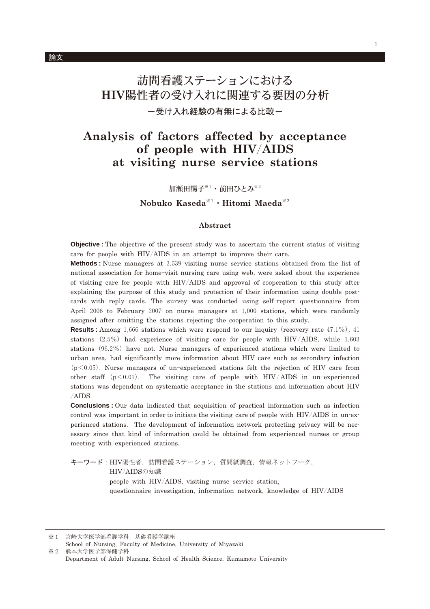# 訪問看護ステーションにおける HIV陽性者の受け入れに関連する要因の分析 一受け入れ経験の有無による比較ー

## Analysis of factors affected by acceptance of people with HIV/AIDS at visiting nurse service stations

加瀬田暢子※1·前田ひとみ※2

### Nobuko Kaseda<sup>\*1</sup> · Hitomi Maeda<sup>\*2</sup>

#### Abstract

**Objective**: The objective of the present study was to ascertain the current status of visiting care for people with HIV/AIDS in an attempt to improve their care.

**Methods**: Nurse managers at 3,539 visiting nurse service stations obtained from the list of national association for home-visit nursing care using web, were asked about the experience of visiting care for people with HIV/AIDS and approval of cooperation to this study after explaining the purpose of this study and protection of their information using double postcards with reply cards. The survey was conducted using self-report questionnaire from April 2006 to February 2007 on nurse managers at 1,000 stations, which were randomly assigned after omitting the stations rejecting the cooperation to this study.

**Results:** Among 1,666 stations which were respond to our inquiry (recovery rate 47.1%), 41 stations  $(2.5\%)$  had experience of visiting care for people with HIV/AIDS, while 1,603 stations  $(96.2\%)$  have not. Nurse managers of experienced stations which were limited to urban area, had significantly more information about HIV care such as secondary infection  $(p<0.05)$ . Nurse managers of un-experienced stations felt the rejection of HIV care from other staff  $(p<0.01)$ . The visiting care of people with HIV/AIDS in un-experienced stations was dependent on systematic acceptance in the stations and information about HIV /AIDS.

**Conclusions**: Our data indicated that acquisition of practical information such as infection control was important in order to initiate the visiting care of people with HIV/AIDS in un-experienced stations. The development of information network protecting privacy will be necessary since that kind of information could be obtained from experienced nurses or group meeting with experienced stations.

キーワード: HIV陽性者, 訪問看護ステーション, 質問紙調査, 情報ネットワーク, HIV/AIDSの知識 people with HIV/AIDS, visiting nurse service station, questionnaire investigation, information network, knowledge of HIV/AIDS

宮崎大学医学部看護学科 基礎看護学講座  $\frac{1}{2}$  1

School of Nursing, Faculty of Medicine, University of Mivazaki  $\divideontimes 2$ 熊本大学医学部保健学科 Department of Adult Nursing, School of Health Science, Kumamoto University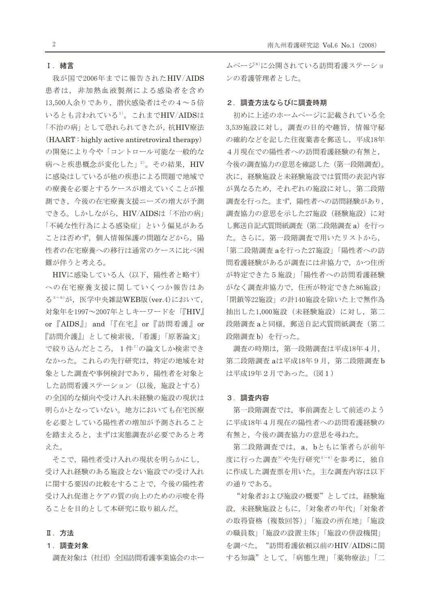#### I. 緒言

我が国で2006年までに報告されたHIV/AIDS 患者は、非加熱血液製剤による感染者を含め 13,500人余りであり、潜伏感染者はその4~5倍 いるとも言われている1)。これまでHIV/AIDSは 「不治の病」として恐れられてきたが、抗HIV療法 (HAART: highly active antiretroviral therapy) の開発により今や「コントロール可能な一般的な 病へと疾患概念が変化した」2)。その結果、HIV に感染はしているが他の疾患による問題で地域で の療養を必要とするケースが増えていくことが推 測でき、今後の在宅療養支援ニーズの増大が予測 できる。しかしながら、HIV/AIDSは「不治の病」 「不純な性行為による感染症」という偏見がある ことは否めず、個人情報保護の問題などから、陽 性者の在宅療養への移行は通常のケースに比べ困 難が伴うと考える。

HIVに感染している人(以下、陽性者と略す) への在宅療養支援に関していくつか報告はあ る<sup>3~6)</sup>が、医学中央雑誌WEB版 (ver.4)において, 対象年を1997~2007年としキーワードを「『HIV』 or 『AIDS』」and 「『在宅』 or 『訪問看護』 or 『訪問介護』」として検索後、「看護」「原著論文」 で絞り込んだところ、1件7の論文しか検索でき なかった。これらの先行研究は、特定の地域を対 象とした調査や事例検討であり、陽性者を対象と した訪問看護ステーション (以後、施設とする) の全国的な傾向や受け入れ未経験の施設の現状は 明らかとなっていない。地方においても在宅医療 を必要としている陽性者の増加が予測されること を踏まえると、まずは実態調査が必要であると考 えた。

そこで、陽性者受け入れの現状を明らかにし, 受け入れ経験のある施設とない施設での受け入れ に関する要因の比較をすることで、今後の陽性者 受け入れ促進とケアの質の向上のための示唆を得 ることを目的として本研究に取り組んだ。

### Ⅱ. 方法

#### 1. 調査対象

調査対象は(社団)全国訪問看護事業協会のホー

ムページ<sup>8)</sup>に公開されている訪問看護ステーショ ンの看護管理者とした。

#### 2. 調査方法ならびに調査時期

初めに上述のホームページに記載されている全 3,539施設に対し、調査の目的や趣旨、情報守秘 の確約などを記した往復葉書を郵送し、平成18年 4月現在での陽性者への訪問看護経験の有無と, 今後の調査協力の意思を確認した(第一段階調査)。 次に、経験施設と未経験施設では質問の表記内容 が異なるため、それぞれの施設に対し、第二段階 調査を行った。まず、陽性者への訪問経験があり, 調査協力の意思を示した27施設 (経験施設)に対 し郵送自記式質問紙調査 (第二段階調査 a) を行っ た。さらに、第一段階調査で用いたリストから, 「第二段階調査 aを行った27施設」「陽性者への訪 問看護経験があるが調査には非協力で、かつ住所 が特定できた5施設」「陽性者への訪問看護経験 がなく調査非協力で、住所が特定できた86施設」 「閉鎖等22施設」の計140施設を除いた上で無作為 抽出した1,000施設 (未経験施設)に対し、第二 段階調査aと同様,郵送自記式質問紙調査(第二 段階調査b)を行った。

調査の時期は、第一段階調査は平成18年4月, 第二段階調査 aは平成18年9月, 第二段階調査b は平成19年2月であった。(図1)

#### 3. 調査内容

第一段階調査では、事前調査として前述のよう に平成18年4月現在の陽性者への訪問看護経験の 有無と、今後の調査協力の意思を尋ねた。

第二段階調査では、a, bともに筆者らが前年 度に行った調査<sup>9)</sup>や先行研究<sup>3~6)</sup>を参考に、独自 に作成した調査票を用いた。主な調査内容は以下 の通りである。

"対象者および施設の概要"としては、経験施 設,未経験施設ともに,「対象者の年代」「対象者 の取得資格 (複数回答)」「施設の所在地」「施設 の職員数」「施設の設置主体」「施設の併設機関」 を調べた。"訪問看護依頼以前のHIV/AIDSに関 する知識"として、「病態生理」「薬物療法」「二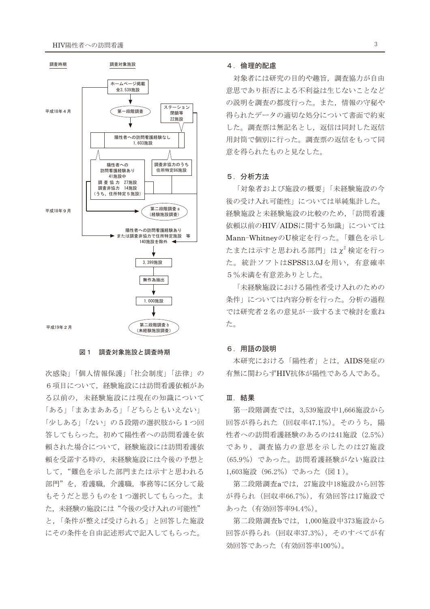

#### 図 1 調査対象施設と調査時期

次感染」「個人情報保護」「社会制度」「法律」の 6項目について、経験施設には訪問看護依頼があ る以前の、未経験施設には現在の知識について 「ある」「まあまあある」「どちらともいえない」 「少しある」「ない」の5段階の選択肢から1つ回 答してもらった。初めて陽性者への訪問看護を依 頼された場合について、経験施設には訪問看護依 頼を受諾する時の、未経験施設には今後の予想と して、"難色を示した部門または示すと思われる 部門"を、看護職、介護職、事務等に区分して最 もそうだと思うものを1つ選択してもらった。ま た、未経験の施設には"今後の受け入れの可能性" と、「条件が整えば受けられる」と回答した施設 にその条件を自由記述形式で記入してもらった。

#### 4. 倫理的配慮

対象者には研究の目的や趣旨、調査協力が自由 意思であり拒否による不利益は生じないことなど の説明を調査の都度行った。また、情報の守秘や 得られたデータの適切な処分について書面で約束 した。調査票は無記名とし、返信は同封した返信 用封筒で個別に行った。調査票の返信をもって同 意を得られたものと見なした。

#### 5. 分析方法

「対象者および施設の概要」「未経験施設の今 後の受け入れ可能性」については単純集計した。 経験施設と未経験施設の比較のため、「訪問看護 依頼以前のHIV/AIDSに関する知識」については Mann-WhitneyのU検定を行った。「難色を示し たまたは示すと思われる部門」は $\chi^2$ 検定を行っ た。統計ソフトはSPSS13.0Jを用い、有意確率 5%未満を有意差ありとした。

「未経験施設における陽性者受け入れのための 条件」については内容分析を行った。分析の過程 では研究者2名の意見が一致するまで検討を重ね た。

#### 6. 用語の説明

本研究における「陽性者」とは、AIDS発症の 有無に関わらずHIV抗体が陽性である人である。

#### Ⅲ. 結果

第一段階調査では、3,539施設中1,666施設から 回答が得られた (回収率47.1%)。そのうち、陽 性者への訪問看護経験のあるのは41施設 (2.5%) であり、調査協力の意思を示したのは27施設 (65.9%) であった。訪問看護経験がない施設は 1,603施設 (96.2%) であった (図1)。

第二段階調査aでは、27施設中18施設から回答 が得られ (回収率66.7%), 有効回答は17施設で あった (有効回答率94.4%)。

第二段階調査bでは、1,000施設中373施設から 回答が得られ (回収率37.3%), そのすべてが有 効回答であった (有効回答率100%)。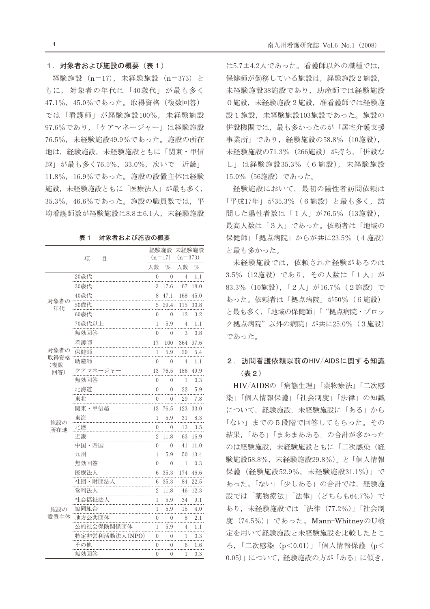#### 1. 対象者および施設の概要 (表1)

経験施設 (n=17), 未経験施設 (n=373) と もに、対象者の年代は「40歳代」が最も多く 47.1%, 45.0%であった。取得資格(複数回答) では「看護師」が経験施設100%, 未経験施設 97.6%であり、「ケアマネージャー」は経験施設 76.5%, 未経験施設49.9%であった。施設の所在 地は、経験施設、未経験施設ともに「関東・甲信 越」が最も多く76.5%, 33.0%, 次いで「近畿」 11.8%, 16.9%であった。施設の設置主体は経験 施設、未経験施設ともに「医療法人」が最も多く, 35.3%, 46.6%であった。施設の職員数では、平 均看護師数が経験施設は8.8±6.1人、未経験施設

|             |                |                |               | 経験施設 未経験施設     |               |
|-------------|----------------|----------------|---------------|----------------|---------------|
|             | 項<br>E         |                | $(n=17)$      | $(n=373)$      |               |
|             |                | 人数             | $\frac{0}{0}$ | 人数             | $\frac{0}{0}$ |
| 対象者の<br>年代  | 20歳代           | 0              | $\Omega$      | 4              | 1.1           |
|             | 30歳代           | 3              | 17.6          | 67             | 18.0          |
|             | 40歳代           | 8              | 47.1          | 168            | 45.0          |
|             | 50歳代           | 5              | 29.4          | 115            | 30.8          |
|             | 60歳代           | 0              | 0             | 12             | 3.2           |
|             | 70歳代以上         | 1              | 5.9           | 4              | 1.1           |
|             | 無効回答           | $\overline{0}$ | $\theta$      | 3              | 0.8           |
|             | 看護師            | 17             | 100           | 364            | 97.6          |
| 対象者の        | 保健師            | 1              | 5.9           | 20             | 5.4           |
| 取得資格<br>(複数 | 助産師            | $\theta$       | $\theta$      | $\overline{4}$ | $1.1\,$       |
| 回答)         | ケアマネージャ        | 13             | 76.5          | 186            | 49.9          |
|             | 無効回答           | $\theta$       | 0             | 1              | $_{0.3}$      |
| 施設の<br>所在地  | 北海道            | $\overline{0}$ | $\theta$      | 22             | 5.9           |
|             | 東北             | $\theta$       | $\theta$      | 29             | 7.8           |
|             | 関東・甲信越         | 13             | 76.5          | 123            | 33.0          |
|             | 東海             | 1              | 5.9           | 31             | 8.3           |
|             | 北陸             | $\mathbf{0}$   | $\theta$      | 13             | 3.5           |
|             | 近畿             | $\overline{2}$ | 11.8          | 63             | 16.9          |
|             | 中国・四国          | 0              | $\theta$      | 41             | 11.0          |
|             | 九州             | 1              | 5.9           | 50             | 13.4          |
|             | 無効回答           | 0              | 0             | 1              | $_{0.3}$      |
|             | 医療法人           | 6              | 35.3          | 174            | 46.6          |
|             | 社団・財団法人        | 6              | 35.3          | 84             | 22.5          |
|             | 営利法人           | 2              | 11.8          | 46             | 12.3          |
|             | 社会福祉法人         | 1              | 5.9           | 34             | 9.1           |
| 施設の         | 協同組合           | 1              | 5.9           | 15             | 4.0           |
| 設置主体        | 地方公共団体         | $\overline{0}$ | 0             | 8              | 2.1           |
|             | 公的社会保険関係団体     | 1              | 5.9           | 4              | 1.1           |
|             | 特定非営利活動法人(NPO) | 0              | 0             | 1              | 0.3           |
|             | その他            | 0              | $\theta$      | 6              | 1.6           |
|             | 無効回答           | 0              | 0             | 1              | 0.3           |

表1 対象者および施設の概要

は5.7±4.2人であった。看護師以外の職種では、 保健師が勤務している施設は、経験施設2施設, 未経験施設38施設であり、助産師では経験施設 0施設,未経験施設2施設,准看護師では経験施 設1施設,未経験施設103施設であった。施設の 併設機関では、最も多かったのが「居宅介護支援 事業所」であり、経験施設の58.8% (10施設), 未経験施設の71.3% (266施設) が持ち、「併設な し」は経験施設35.3% (6施設), 未経験施設 15.0% (56施設) であった。

経験施設において、最初の陽性者訪問依頼は 「平成17年」が35.3% (6施設) と最も多く、訪 問した陽性者数は「1人」が76.5% (13施設), 最高人数は「3人」であった。依頼者は「地域の 保健師」「拠点病院」からが共に23.5% (4施設) と最も多かった。

未経験施設では、依頼された経験があるのは 3.5% (12施設) であり、その人数は「1人」が 83.3% (10施設), 「2人」が16.7% (2施設) で あった。依頼者は「拠点病院」が50% (6施設) と最も多く、「地域の保健師」「"拠点病院・ブロッ ク拠点病院"以外の病院」が共に25.0% (3施設) であった。

### 2. 訪問看護依頼以前のHIV/AIDSに関する知識 (表2)

HIV/AIDSの「病熊生理」「薬物療法」「二次感 染」「個人情報保護」「社会制度」「法律」の知識 について、経験施設、未経験施設に「ある」から 「ない」までの5段階で回答してもらった。その 結果、「ある」「まあまあある」の合計が多かった のは経験施設、未経験施設ともに「二次感染(経 験施設58.8%, 未経験施設29.8%)」と「個人情報 保護 (経験施設52.9%, 未経験施設31.1%)」で あった。「ない」「少しある」の合計では、経験施 設では「薬物療法」「法律」(どちらも64.7%)で あり、未経験施設では「法律 (77.2%)」「社会制 度 (74.5%)」であった。Mann-WhitneyのU検 定を用いて経験施設と未経験施設を比較したとこ ろ, 「二次感染 (p<0.01)」「個人情報保護 (p< 0.05)」について、経験施設の方が「ある」に傾き,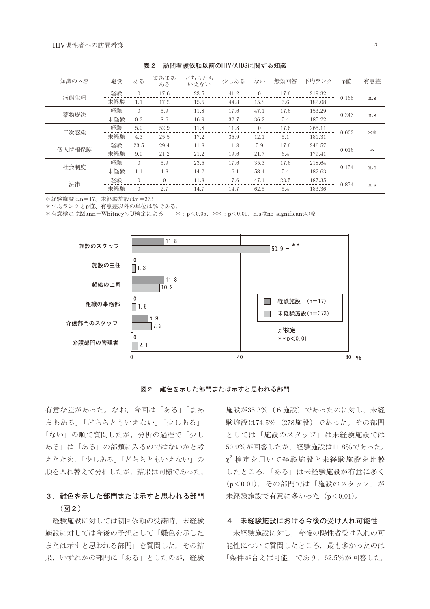| x ←    |     |          |            |               |      |          |      |        |       |              |
|--------|-----|----------|------------|---------------|------|----------|------|--------|-------|--------------|
| 知識の内容  | 施設  | ある       | まあまあ<br>ある | どちらとも<br>いえない | 少しある | ない       | 無効回答 | 平均ランク  | p値    | 有意差          |
| 病熊生理   | 経験  | $\Omega$ | 17.6       | 23.5          | 41.2 | $\Omega$ | 17.6 | 219.32 | 0.168 |              |
|        | 未経験 | 1.1      | 17.2       | 15.5          | 44.8 | 15.8     | 5.6  | 182.08 |       | n.s          |
| 薬物療法   | 経験  | $\Omega$ | 5.9        | 11.8          | 17.6 | 47.1     | 17.6 | 153.29 | 0.243 |              |
|        | 未経験 | 0.3      | 8.6        | 16.9          | 32.7 | 36.2     | 5.4  | 185.22 |       | n.s          |
| 二次感染   | 経験  | 5.9      | 52.9       | 11.8          | 11.8 | $\Omega$ | 17.6 | 265.11 | 0.003 | $**$         |
|        | 未経験 | 4.3      | 25.5       | 17.2          | 35.9 | 12.1     | 5.1  | 181.31 |       |              |
| 個人情報保護 | 経験  | 23.5     | 29.4       | 11.8          | 11.8 | 5.9      | 17.6 | 246.57 | 0.016 | $\ast$       |
|        | 未経験 | 9.9      | 21.2       | 21.2          | 19.6 | 21.7     | 6.4  | 179.41 |       |              |
| 社会制度   | 経験  | $\Omega$ | 5.9        | 23.5          | 17.6 | 35.3     | 17.6 | 218.64 |       |              |
|        | 未経験 | 1.1      | 4.8        | 14.2          | 16.1 | 58.4     | 5.4  | 182.63 | 0.154 | n.s          |
| 法律     | 経験  | $\Omega$ | $\Omega$   | 11.8          | 17.6 | 47.1     | 23.5 | 187.35 |       | 0.874<br>n.s |
|        | 未経験 | $\Omega$ | 2.7        | 14.7          | 14.7 | 62.5     | 5.4  | 183.36 |       |              |

ま? 試問手講体頓以前のHIV/AINSに関する知識

\*経験施設はn=17、未経験施設はn=373

\*平均ランクとp値、有意差以外の単位は%である。

\*有意検定はMann-WhitneyのU検定による \*: p<0.05、 、 \*\* : p<0.01、n.sはno significantの略





有意な差があった。なお、今回は「ある」「まあ まあある」「どちらともいえない」「少しある」 「ない」の順で質問したが、分析の過程で「少し ある」は「ある」の部類に入るのではないかと考 えたため、「少しある」「どちらともいえない」の 順を入れ替えて分析したが、結果は同様であった。

### 3. 難巴を示した部門まだは示すと思われる部門 (図2)

経験施設に対しては初回依頼の受諾時, 未経験 施設に対しては今後の予想として「難色を示した または示すと思われる部門」を質問した。その結 果,いずれかの部門に「ある」としたのが、経験

施設が35.3% (6施設) であったのに対し、未経 験施設は74.5% (278施設) であった。その部門 としては「施設のスタッフ」は未経験施設では 50.9%が回答したが、経験施設は11.8%であった。  $\chi^2$ 検定を用いて経験施設と未経験施設を比較 したところ,「ある」は未経験施設が有意に多く (p<0.01), その部門では「施設のスタッフ」が 未経験施設で有意に多かった (p<0.01)。

### 4.未経験施設における今後の受け入れ可能性

未経験施設に対し、今後の陽性者受け入れの可 能性について質問したところ、最も多かったのは 「条件が合えば可能」であり, 62.5%が回答した。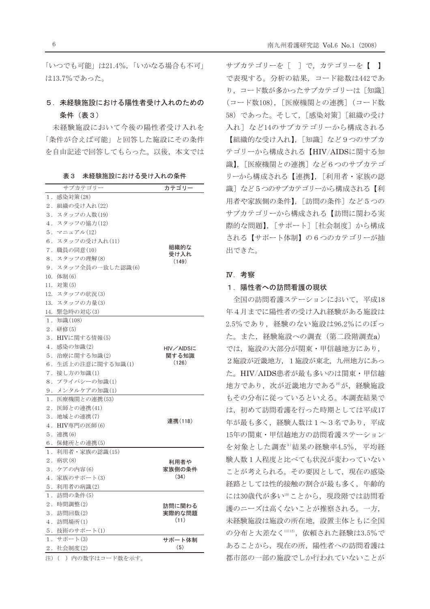「いつでも可能」は21.4%,「いかなる場合も不可」 は13.7%であった。

### 5. 未経験施設における陽性者受け入れのための 条件 (表3)

未経験施設において今後の陽性者受け入れを 「条件が合えば可能」と回答した施設にその条件 を自由記述で回答してもらった。以後、本文では

|                  | 1X U<br>木社款肥以にのける文け八社の木工 |              |
|------------------|--------------------------|--------------|
|                  | サブカテゴリー                  | カテゴリー        |
| 1 <sup>1</sup>   | 感染対策(28)                 |              |
| $2$ .            | 組織の受け入れ(22)              |              |
|                  | 3. スタッフの人数(19)           |              |
|                  | 4. スタッフの協力(12)           |              |
|                  | 5.マニュアル(12)              |              |
| 6.               | スタッフの受け入れ(11)            |              |
| 7.               | 職員の同意(10)                | 組織的な<br>受け入れ |
| 8.               | スタッフの理解(8)               | (149)        |
| 9.               | スタッフ全員の一致した認識(6)         |              |
| 10.              | 体制(6)                    |              |
| 11.              | 対策(5)                    |              |
| 12.              | スタッフの状況(3)               |              |
| 13.              | スタッフの力量(3)               |              |
| 14.              | 緊急時の対応(3)                |              |
| 1.               | 知識(108)                  |              |
| 2.               | 研修(5)                    |              |
| $\overline{3}$ . | HIVに関する情報(5)             |              |
| 4.               | 感染の知識(2)                 | HIV/AIDSに    |
| 5.               | 治療に関する知識(2)              | 関する知識        |
| 6.               | 生活上の注意に関する知識(1)          | (126)        |
| 7.               | 接し方の知識(1)                |              |
| 8.               | プライバシーの知識(1)             |              |
| 9.               | メンタルケアの知識(1)             |              |
| 1.               | 医療機関との連携(53)             |              |
| $2$ .            | 医師との連携(41)               |              |
| 3.               | 地域との連携(7)                | 連携(118)      |
| 4.               | HIV専門の医師(6)              |              |
| 5.               | 連携(6)                    |              |
| 6.               | 保健所との連携(5)               |              |
| 1.               | 利用者・家族の認識(15)            |              |
| $2$ .            | 病状(8)                    | 利用者や         |
| 3.               | ケアの内容(6)                 | 家族側の条件       |
| 4.               | 家族のサポート(3)               | (34)         |
|                  | 5.利用者の病識(2)              |              |
| 1.               | 訪問の条件(5)                 |              |
| $2$ .            | 時間調整(2)                  | 訪問に関わる       |
| 3.               | 訪問回数(2)                  | 実際的な問題       |
| $4$ .            | 訪問場所(1)                  | (11)         |
| 5.               | 技術のサポート(1)               |              |
| 1.               | サポート(3)                  | サポート体制       |
| $2$ .            | 社会制度(2)                  | (5)          |
| 注)               | () 内の数字はコード数を示す。         |              |

| 表 3 | 未経験施設における受け入れの条件 |
|-----|------------------|
|-----|------------------|

サブカテゴリーを [ ] で、カテゴリーを 【 】 で表現する。分析の結果、コード総数は442であ り、コード数が多かったサブカテゴリーは [知識] (コード数108), [医療機関との連携] (コード数 58) であった。そして、[感染対策] [組織の受け 入れ]など14のサブカテゴリーから構成される 【組織的な受け入れ】, 「知識] など9つのサブカ テゴリーから構成される【HIV/AIDSに関する知 識】. 「医療機関との連携] など6つのサブカテゴ リーから構成される【連携】, [利用者・家族の認 識]など5つのサブカテゴリーから構成される【利 用者や家族側の条件】, [訪問の条件] など5つの サブカテゴリーから構成される【訪問に関わる実 際的な問題】、「サポート]「社会制度]から構成 される【サポート体制】の6つのカテゴリーが抽 出できた。

#### IV. 考察

#### 1.陽性者への訪問看護の現状

全国の訪問看護ステーションにおいて、平成18 年4月までに陽性者の受け入れ経験がある施設は 2.5%であり、経験のない施設は96.2%にのぼっ た。また、経験施設への調査(第二段階調査a) では、施設の大部分が関東・甲信越地方にあり, 2 施設が近畿地方、1 施設が東北、九州地方にあっ た。HIV/AIDS患者が最も多いのは関東·甲信越 地方であり、次が近畿地方である10が、経験施設 もその分布に従っているといえる。本調査結果で は、初めて訪問看護を行った時期としては平成17 年が最も多く、経験人数は1~3名であり、平成 15年の関東・甲信越地方の訪問看護ステーション を対象とした調査3)結果の経験率4.5%, 平均経 験人数1人程度と比べても状況が変わっていない ことが考えられる。その要因として、現在の感染 経路としては性的接触の割合が最も多く、年齢的 には30歳代が多い10)ことから、現段階では訪問看 護のニーズは高くないことが推察される。一方, 未経験施設は施設の所在地、設置主体ともに全国 の分布と大差なく11)12), 依頼された経験は3.5%で あることから、現在の所、陽性者への訪問看護は 都市部の一部の施設でしか行われていないことが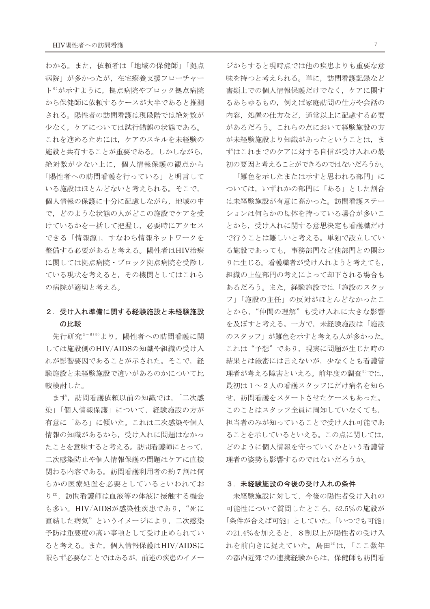わかる。また、依頼者は「地域の保健師」「拠点 病院」が多かったが、在宅療養支援フローチャー ト<sup>6)</sup>が示すように、拠点病院やブロック拠点病院 から保健師に依頼するケースが大半であると推測 される。陽性者の訪問看護は現段階では絶対数が 少なく、ケアについては試行錯誤の状態である。 これを進めるためには、ケアのスキルを未経験の 施設と共有することが重要である。しかしながら, 絶対数が少ない上に、個人情報保護の観点から 「陽性者への訪問看護を行っている」と明言して いる施設はほとんどないと考えられる。そこで, 個人情報の保護に十分に配慮しながら、地域の中 で、どのような状態の人がどこの施設でケアを受 けているかを一括して把握し、必要時にアクセス できる「情報源」、すなわち情報ネットワークを 整備する必要があると考える。陽性者はHIV治療 に関しては拠点病院・ブロック拠点病院を受診し ている現状を考えると、その機関としてはこれら の病院が適切と考える。

### 2. 受け入れ準備に関する経験施設と未経験施設 の比較

先行研究3~6)9)より、陽性者への訪問看護に関 しては施設側のHIV/AIDSの知識や組織の受け入 れが影響要因であることが示された。そこで、経 験施設と未経験施設で違いがあるのかについて比 較検討した。

まず、訪問看護依頼以前の知識では、「二次感 染」「個人情報保護」について、経験施設の方が 有意に「ある」に傾いた。これは二次感染や個人 情報の知識があるから、受け入れに問題はなかっ たことを意味すると考える。訪問看護師にとって, 二次感染防止や個人情報保護の問題はケアに直接 関わる内容である。訪問看護利用者の約7割は何 らかの医療処置を必要としているといわれてお り13), 訪問看護師は血液等の体液に接触する機会 も多い。HIV/AIDSが感染性疾患であり、"死に 直結した病気"というイメージにより、二次感染 予防は重要度の高い事項として受け止められてい ると考える。また、個人情報保護はHIV/AIDSに 限らず必要なことではあるが、前述の疾患のイメー

ジからすると現時点では他の疾患よりも重要な意 味を持つと考えられる。単に、訪問看護記録など 書類上での個人情報保護だけでなく、ケアに関す るあらゆるもの、例えば家庭訪問の仕方や会話の 内容、処置の仕方など、通常以上に配慮する必要 があるだろう。これらの点において経験施設の方 が未経験施設より知識があったということは、ま ずはこれまでのケアに対する自信が受け入れの最 初の要因と考えることができるのではないだろうか。

「難色を示したまたは示すと思われる部門」に ついては、いずれかの部門に「ある」とした割合 は未経験施設が有意に高かった。訪問看護ステー ションは何らかの母体を持っている場合が多いこ とから、受け入れに関する意思決定も看護職だけ で行うことは難しいと考える。単独で設立してい る施設であっても、事務部門など他部門との関わ りは生じる。看護職者が受け入れようと考えても, 組織の上位部門の考えによって却下される場合も あるだろう。また、経験施設では「施設のスタッ フ」「施設の主任」の反対がほとんどなかったこ とから、"仲間の理解"も受け入れに大きな影響 を及ぼすと考える。一方で、未経験施設は「施設 のスタッフ」が難色を示すと考える人が多かった。 これは"予想"であり、現実に問題が生じた時の 結果とは厳密には言えないが、少なくとも看護管 理者が考える障害といえる。前年度の調査<sup>9)</sup>では、 最初は1~2人の看護スタッフにだけ病名を知ら せ、訪問看護をスタートさせたケースもあった。 このことはスタッフ全員に周知していなくても, 担当者のみが知っていることで受け入れ可能であ ることを示しているといえる。この点に関しては, どのように個人情報を守っていくかという看護管 理者の姿勢も影響するのではないだろうか。

#### 3. 未経験施設の今後の受け入れの条件

未経験施設に対して、今後の陽性者受け入れの 可能性について質問したところ、62.5%の施設が 「条件が合えば可能」としていた。「いつでも可能」 の21.4%を加えると、8割以上が陽性者の受け入 れを前向きに捉えていた。島田14)は、「ここ数年 の都内近郊での連携経験からは、保健師も訪問看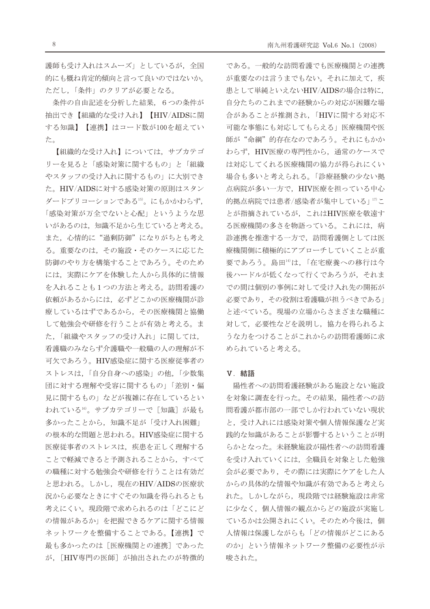護師も受け入れはスムーズ」としているが、全国 的にも概ね肯定的傾向と言って良いのではないか。 ただし、「条件」のクリアが必要となる。

条件の自由記述を分析した結果, 6つの条件が 抽出でき【組織的な受け入れ】【HIV/AIDSに関 する知識】【連携】はコード数が100を超えてい た。

【組織的な受け入れ】については、サブカテゴ リーを見ると「感染対策に関するもの」と「組織 やスタッフの受け入れに関するもの」に大別でき た。HIV/AIDSに対する感染対策の原則はスタン ダードプリコーションである15)。にもかかわらず、 「感染対策が万全でないと心配」というような思 いがあるのは、知識不足から生じていると考える。 また、心情的に"過剰防御"になりがちとも考え る。重要なのは、その施設・そのケースに応じた 防御のやり方を構築することであろう。そのため には、実際にケアを体験した人から具体的に情報 を入れることも1つの方法と考える。訪問看護の 依頼があるからには、必ずどこかの医療機関が診 療しているはずであるから、その医療機関と協働 して勉強会や研修を行うことが有効と考える。ま た、「組織やスタッフの受け入れ」に関しては, 看護職のみならず介護職や一般職の人の理解が不 可欠であろう。HIV感染症に関する医療従事者の ストレスは、「自分自身への感染」の他,「少数集 団に対する理解や受容に関するもの」「差別·偏 見に関するもの」などが複雑に存在しているとい われている16)。サブカテゴリーで「知識]が最も 多かったことから、知識不足が「受け入れ困難」 の根本的な問題と思われる。HIV感染症に関する 医療従事者のストレスは、疾患を正しく理解する ことで軽減できると予測されることから、すべて の職種に対する勉強会や研修を行うことは有効だ と思われる。しかし、現在のHIV/AIDSの医療状 況から必要なときにすぐその知識を得られるとも 考えにくい。現段階で求められるのは「どこにど の情報があるか」を把握できるケアに関する情報 ネットワークを整備することである。【連携】で 最も多かったのは「医療機関との連携」であった が、[HIV専門の医師]が抽出されたのが特徴的 である。一般的な訪問看護でも医療機関との連携 が重要なのは言うまでもない。それに加えて、疾 患として単純といえないHIV/AIDSの場合は特に, 自分たちのこれまでの経験からの対応が困難な場 合があることが推測され、「HIVに関する対応不 可能な事態にも対応してもらえる」医療機関や医 師が"命綱"的存在なのであろう。それにもかか わらず、HIV医療の専門性から、通常のケースで は対応してくれる医療機関の協力が得られにくい 場合も多いと考えられる。「診療経験の少ない拠 点病院が多い一方で、HIV医療を担っている中心 的拠点病院では患者/感染者が集中している」17)こ とが指摘されているが、これはHIV医療を敬遠す る医療機関の多さを物語っている。これには、病 診連携を推進する一方で、訪問看護側としては医 療機関側に積極的にアプローチしていくことが重 要であろう。島田14)は、「在宅療養への移行は今 後ハードルが低くなって行くであろうが、それま での間は個別の事例に対して受け入れ先の開拓が 必要であり、その役割は看護職が担うべきである」 と述べている。現場の立場からさまざまな職種に 対して、必要性などを説明し、協力を得られるよ うな力をつけることがこれからの訪問看護師に求 められていると考える。

#### V. 結語

陽性者への訪問看護経験がある施設とない施設 を対象に調査を行った。その結果、陽性者への訪 間看護が都市部の一部でしか行われていない現状 と、受け入れには感染対策や個人情報保護など実 践的な知識があることが影響するということが明 らかとなった。未経験施設が陽性者への訪問看護 を受け入れていくには、全職員を対象とした勉強 会が必要であり、その際には実際にケアをした人 からの具体的な情報や知識が有効であると考えら れた。しかしながら、現段階では経験施設は非常 に少なく、個人情報の観点からどの施設が実施し ているかは公開されにくい。そのため今後は、個 人情報は保護しながらも「どの情報がどこにある のか」という情報ネットワーク整備の必要性が示 唆された。